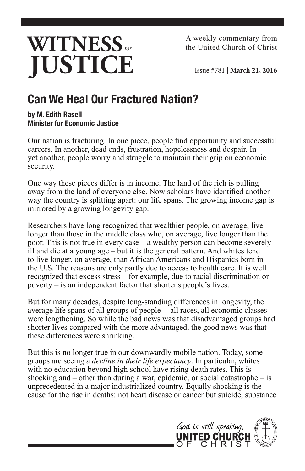

A weekly commentary from the United Church of Christ

Issue #781 | **March 21, 2016**

## **Can We Heal Our Fractured Nation?**

## **by M. Edith Rasell Minister for Economic Justice**

Our nation is fracturing. In one piece, people find opportunity and successful careers. In another, dead ends, frustration, hopelessness and despair. In yet another, people worry and struggle to maintain their grip on economic security.

One way these pieces differ is in income. The land of the rich is pulling away from the land of everyone else. Now scholars have identified another way the country is splitting apart: our life spans. The growing income gap is mirrored by a growing longevity gap.

Researchers have long recognized that wealthier people, on average, live longer than those in the middle class who, on average, live longer than the poor. This is not true in every case – a wealthy person can become severely ill and die at a young age – but it is the general pattern. And whites tend to live longer, on average, than African Americans and Hispanics born in the U.S. The reasons are only partly due to access to health care. It is well recognized that excess stress – for example, due to racial discrimination or poverty – is an independent factor that shortens people's lives.

But for many decades, despite long-standing differences in longevity, the average life spans of all groups of people -- all races, all economic classes – were lengthening. So while the bad news was that disadvantaged groups had shorter lives compared with the more advantaged, the good news was that these differences were shrinking.

But this is no longer true in our downwardly mobile nation. Today, some groups are seeing a *decline in their life expectancy*. In particular, whites with no education beyond high school have rising death rates. This is shocking and – other than during a war, epidemic, or social catastrophe – is unprecedented in a major industrialized country. Equally shocking is the cause for the rise in deaths: not heart disease or cancer but suicide, substance